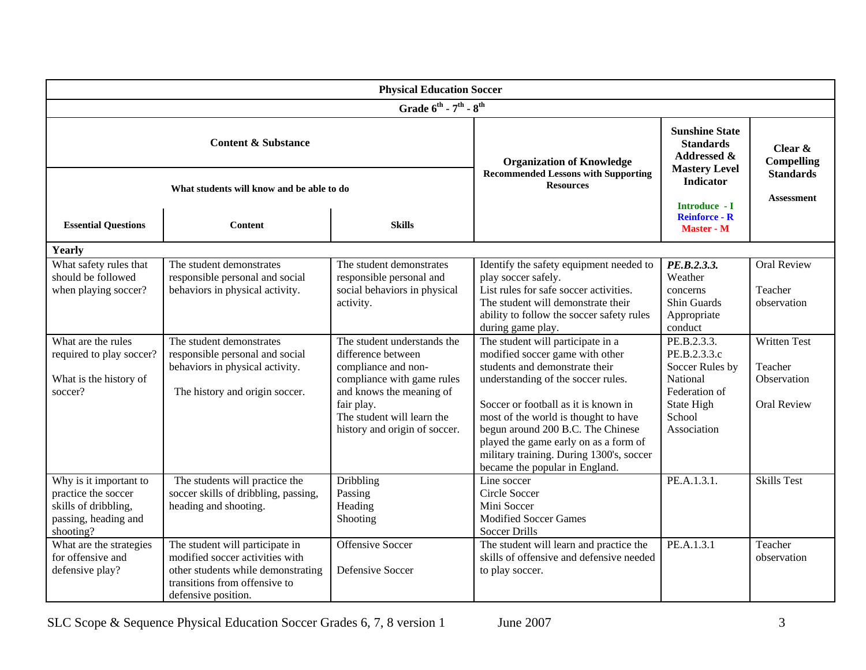| <b>Physical Education Soccer</b>                                                                           |                                                                                                                                                                  |                                                                                                                                                                                  |                                                                                                                                                                                                                                                                                                                                                     |                                                                                                                              |                                                                          |  |  |  |
|------------------------------------------------------------------------------------------------------------|------------------------------------------------------------------------------------------------------------------------------------------------------------------|----------------------------------------------------------------------------------------------------------------------------------------------------------------------------------|-----------------------------------------------------------------------------------------------------------------------------------------------------------------------------------------------------------------------------------------------------------------------------------------------------------------------------------------------------|------------------------------------------------------------------------------------------------------------------------------|--------------------------------------------------------------------------|--|--|--|
| Grade $6^{th}$ - $7^{th}$ - $8^{th}$                                                                       |                                                                                                                                                                  |                                                                                                                                                                                  |                                                                                                                                                                                                                                                                                                                                                     |                                                                                                                              |                                                                          |  |  |  |
| <b>Content &amp; Substance</b>                                                                             |                                                                                                                                                                  |                                                                                                                                                                                  | <b>Organization of Knowledge</b><br><b>Recommended Lessons with Supporting</b><br><b>Resources</b>                                                                                                                                                                                                                                                  | <b>Sunshine State</b><br><b>Standards</b><br>Addressed &<br><b>Mastery Level</b><br><b>Indicator</b><br><b>Introduce - I</b> | Clear $\&$<br><b>Compelling</b><br><b>Standards</b><br><b>Assessment</b> |  |  |  |
| What students will know and be able to do                                                                  |                                                                                                                                                                  |                                                                                                                                                                                  |                                                                                                                                                                                                                                                                                                                                                     |                                                                                                                              |                                                                          |  |  |  |
| <b>Essential Questions</b>                                                                                 | <b>Content</b>                                                                                                                                                   | <b>Skills</b>                                                                                                                                                                    |                                                                                                                                                                                                                                                                                                                                                     | <b>Reinforce - R</b><br><b>Master - M</b>                                                                                    |                                                                          |  |  |  |
| Yearly                                                                                                     |                                                                                                                                                                  |                                                                                                                                                                                  |                                                                                                                                                                                                                                                                                                                                                     |                                                                                                                              |                                                                          |  |  |  |
| What safety rules that<br>should be followed<br>when playing soccer?<br>What are the rules                 | The student demonstrates<br>responsible personal and social<br>behaviors in physical activity.<br>The student demonstrates                                       | The student demonstrates<br>responsible personal and<br>social behaviors in physical<br>activity.<br>The student understands the                                                 | Identify the safety equipment needed to<br>play soccer safely.<br>List rules for safe soccer activities.<br>The student will demonstrate their<br>ability to follow the soccer safety rules<br>during game play.<br>The student will participate in a                                                                                               | PE.B.2.3.3.<br>Weather<br>concerns<br>Shin Guards<br>Appropriate<br>conduct<br>PE.B.2.3.3.                                   | <b>Oral Review</b><br>Teacher<br>observation<br><b>Written Test</b>      |  |  |  |
| required to play soccer?<br>What is the history of<br>soccer?                                              | responsible personal and social<br>behaviors in physical activity.<br>The history and origin soccer.                                                             | difference between<br>compliance and non-<br>compliance with game rules<br>and knows the meaning of<br>fair play.<br>The student will learn the<br>history and origin of soccer. | modified soccer game with other<br>students and demonstrate their<br>understanding of the soccer rules.<br>Soccer or football as it is known in<br>most of the world is thought to have<br>begun around 200 B.C. The Chinese<br>played the game early on as a form of<br>military training. During 1300's, soccer<br>became the popular in England. | PE.B.2.3.3.c<br>Soccer Rules by<br>National<br>Federation of<br>State High<br>School<br>Association                          | Teacher<br>Observation<br>Oral Review                                    |  |  |  |
| Why is it important to<br>practice the soccer<br>skills of dribbling,<br>passing, heading and<br>shooting? | The students will practice the<br>soccer skills of dribbling, passing,<br>heading and shooting.                                                                  | Dribbling<br>Passing<br>Heading<br>Shooting                                                                                                                                      | Line soccer<br>Circle Soccer<br>Mini Soccer<br><b>Modified Soccer Games</b><br><b>Soccer Drills</b>                                                                                                                                                                                                                                                 | PE.A.1.3.1.                                                                                                                  | <b>Skills Test</b>                                                       |  |  |  |
| What are the strategies<br>for offensive and<br>defensive play?                                            | The student will participate in<br>modified soccer activities with<br>other students while demonstrating<br>transitions from offensive to<br>defensive position. | <b>Offensive Soccer</b><br>Defensive Soccer                                                                                                                                      | The student will learn and practice the<br>skills of offensive and defensive needed<br>to play soccer.                                                                                                                                                                                                                                              | PE.A.1.3.1                                                                                                                   | Teacher<br>observation                                                   |  |  |  |

SLC Scope & Sequence Physical Education Soccer Grades 6, 7, 8 version 1 June 2007 3